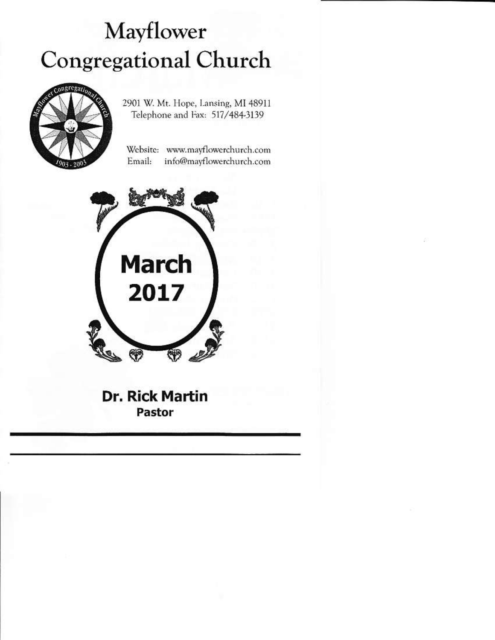# Mayflower **Congregational Church**



2901 W. Mt. Hope, Lansing, MI 48911 Telephone and Fax: 517/484-3139

Website: www.mayflowerchurch.com Email: info@mayflowerchurch.com



**Dr. Rick Martin** Pastor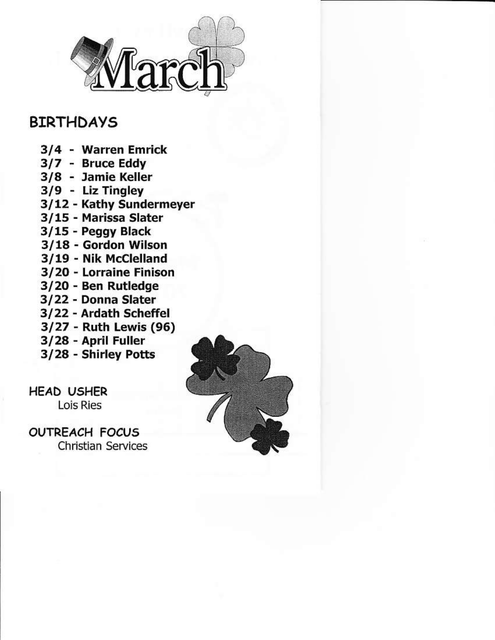

# **BIRTHDAYS**

- 3/4 warren Emrick
- 3/7 Bruce Eddy
- 3/8 Jamie Keller
- 3/9 Liz Tingley
- 3/12 Kathy Sundermeyer
- 3/15 Marissa Slater
- 3/15 Peggy Black
- 3/18 Gordon Wilson
- 3/19 Nik Mcclelland
- 3/20 Lorraine Finison
- 3/20 Ben Rutledge
- 3/22 Donna slater
- 3/22 Ardath Schcffel
- 3/27 Ruth Lewis (95)
- 3/28 April Fuller
- 3/28 shlrley Potts

HEAD USHER Lois Ries

**OUTREACH FOCUS** Christian Services

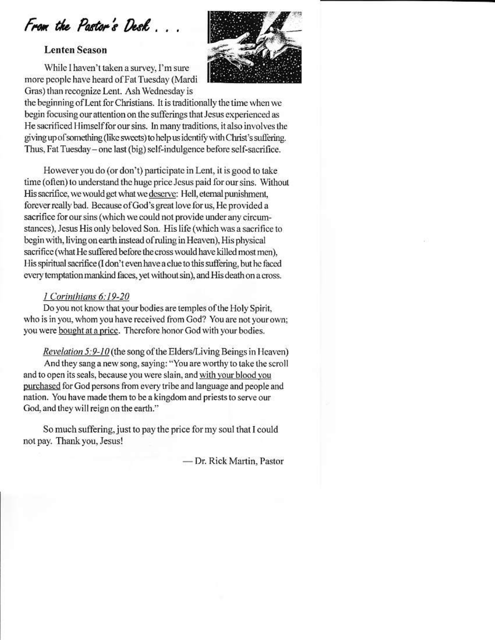From the Pastor's Desk.

#### **Lenten Season**

While I haven't taken a survey, I'm sure more people have heard of Fat Tuesday (Mardi Gras) than recognize Lent. Ash Wednesday is



the beginning of Lent for Christians. It is traditionally the time when we begin focusing our attention on the sufferings that Jesus experienced as He sacrificed Himself for our sins. In many traditions, it also involves the giving up of something (like sweets) to help us identify with Christ's suffering. Thus, Fat Tuesday - one last (big) self-indulgence before self-sacrifice.

However you do (or don't) participate in Lent, it is good to take time (often) to understand the huge price Jesus paid for our sins. Without His sacrifice, we would get what we deserve: Hell, eternal punishment, forever really bad. Because of God's great love for us, He provided a sacrifice for our sins (which we could not provide under any circumstances), Jesus His only beloved Son. His life (which was a sacrifice to begin with, living on earth instead of ruling in Heaven). His physical sacrifice (what He suffered before the cross would have killed most men), His spiritual sacrifice (I don't even have a clue to this suffering, but he faced every temptation mankind faces, yet without sin), and His death on a cross.

### 1 Corinthians 6:19-20

Do you not know that your bodies are temples of the Holy Spirit, who is in you, whom you have received from God? You are not your own; you were bought at a price. Therefore honor God with your bodies.

#### Revelation 5:9-10 (the song of the Elders/Living Beings in Heaven)

And they sang a new song, saying: "You are worthy to take the scroll and to open its seals, because you were slain, and with your blood you purchased for God persons from every tribe and language and people and nation. You have made them to be a kingdom and priests to serve our God, and they will reign on the earth."

So much suffering, just to pay the price for my soul that I could not pay. Thank you, Jesus!

- Dr. Rick Martin, Pastor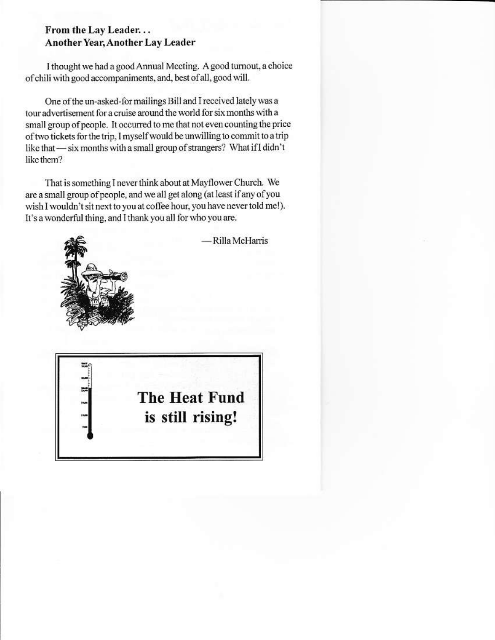## From the Lay Leader... Another Year, Another Lay Leader

I thought we had a good Annual Meeting. A good turnout, a choice of chili with good accompaniments, and, best of all, good will.

One of the un-asked-for mailings Bill and I received lately was a tour advertisement for a cruise around the world for six months with a small group of people. It occurred to me that not even counting the price of two tickets for the trip, I myself would be unwilling to commit to a trip like that — six months with a small group of strangers? What if I didn't like them?

That is something I never think about at Mayflower Church. We are a small group of people, and we all get along (at least if any of you wish I wouldn't sit next to you at coffee hour, you have never told me!). It's a wonderful thing, and I thank you all for who you are.

Rilla McHarris

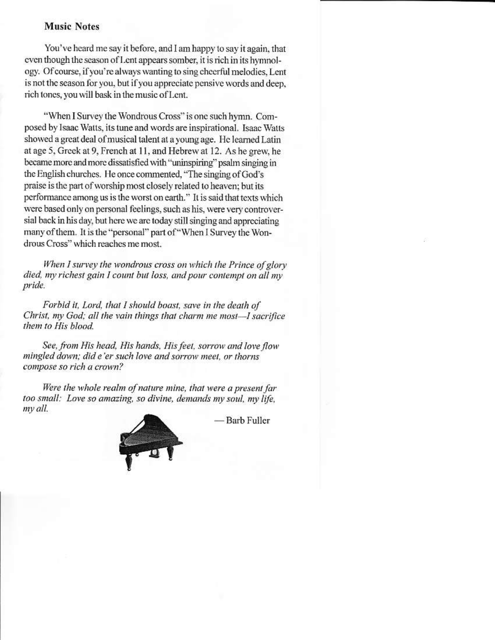#### **Music Notes**

You've heard me say it before, and I am happy to say it again, that even though the season of Lent appears somber, it is rich in its hymnology. Of course, if you're always wanting to sing cheerful melodies. Lent is not the season for you, but if you appreciate pensive words and deep. rich tones, you will bask in the music of Lent.

"When I Survey the Wondrous Cross" is one such hymn. Composed by Isaac Watts, its tune and words are inspirational. Isaac Watts showed a great deal of musical talent at a young age. He learned Latin at age 5, Greek at 9, French at 11, and Hebrew at 12. As he grew, he became more and more dissatisfied with "uninspiring" psalm singing in the English churches. He once commented, "The singing of God's praise is the part of worship most closely related to heaven; but its performance among us is the worst on earth." It is said that texts which were based only on personal feelings, such as his, were very controversial back in his day, but here we are today still singing and appreciating many of them. It is the "personal" part of "When I Survey the Wondrous Cross" which reaches me most.

When I survey the wondrous cross on which the Prince of glory died, my richest gain I count but loss, and pour contempt on all my pride.

Forbid it, Lord, that I should boast, save in the death of Christ, my God; all the vain things that charm me most-I sacrifice them to His blood.

See, from His head, His hands, His feet, sorrow and love flow mingled down; did e'er such love and sorrow meet, or thorns compose so rich a crown?

Were the whole realm of nature mine, that were a present far too small: Love so amazing, so divine, demands my soul, my life, my all.

- Barb Fuller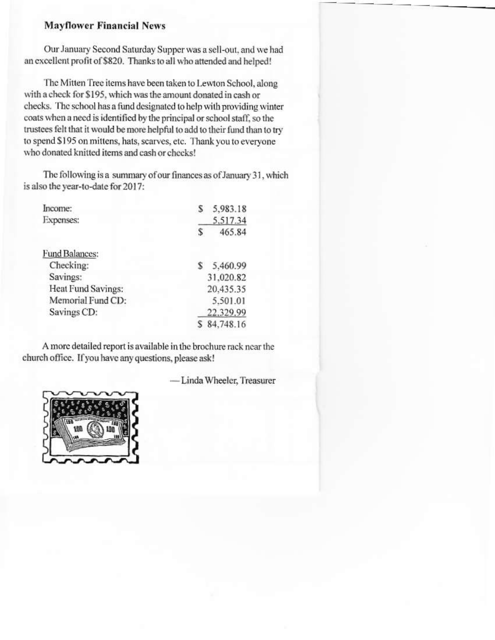#### **Mayflower Financial News**

Our January Second Saturday Supper was a sell-out, and we had an excellent profit of \$820. Thanks to all who attended and helped!

The Mitten Tree items have been taken to Lewton School, along with a check for \$195, which was the amount donated in cash or checks. The school has a fund designated to help with providing winter coats when a need is identified by the principal or school staff, so the trustees felt that it would be more helpful to add to their fund than to try to spend \$195 on mittens, hats, scarves, etc. Thank you to everyone who donated knitted items and cash or checks!

The following is a summary of our finances as of January 31, which is also the year-to-date for 2017:

| Income:               |           | 5,983.18  |
|-----------------------|-----------|-----------|
| <b>Expenses:</b>      |           | 5,517.34  |
|                       |           | 465.84    |
| <b>Fund Balances:</b> |           |           |
| Checking:             |           | 5,460.99  |
| Savings:              | 31.020.82 |           |
| Heat Fund Savings:    | 20,435.35 |           |
| Memorial Fund CD:     | 5,501.01  |           |
| Savings CD:           |           | 22.329.99 |
|                       |           | 84,748.16 |

A more detailed report is available in the brochure rack near the church office. If you have any questions, please ask!

- Linda Wheeler, Treasurer

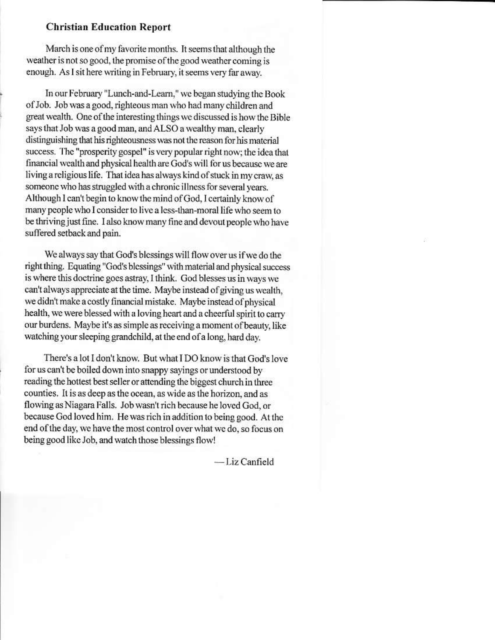### **Christian Education Report**

March is one of my favorite months. It seems that although the weather is not so good, the promise of the good weather coming is enough. As I sit here writing in February, it seems very far away.

In our February "Lunch-and-Learn," we began studying the Book of Job. Job was a good, righteous man who had many children and great wealth. One of the interesting things we discussed is how the Bible says that Job was a good man, and ALSO a wealthy man, clearly distinguishing that his righteousness was not the reason for his material success. The "prosperity gospel" is very popular right now; the idea that financial wealth and physical health are God's will for us because we are living a religious life. That idea has always kind of stuck in my craw, as someone who has struggled with a chronic illness for several years. Although I can't begin to know the mind of God, I certainly know of many people who I consider to live a less-than-moral life who seem to be thriving just fine. I also know many fine and devout people who have suffered setback and pain.

We always say that God's blessings will flow over us if we do the right thing. Equating "God's blessings" with material and physical success is where this doctrine goes astray, I think. God blesses us in ways we can't always appreciate at the time. Maybe instead of giving us wealth, we didn't make a costly financial mistake. Maybe instead of physical health, we were blessed with a loving heart and a cheerful spirit to carry our burdens. Maybe it's as simple as receiving a moment of beauty, like watching your sleeping grandchild, at the end of a long, hard day.

There's a lot I don't know. But what I DO know is that God's love for us can't be boiled down into snappy sayings or understood by reading the hottest best seller or attending the biggest church in three counties. It is as deep as the ocean, as wide as the horizon, and as flowing as Niagara Falls. Job wasn't rich because he loved God, or because God loved him. He was rich in addition to being good. At the end of the day, we have the most control over what we do, so focus on being good like Job, and watch those blessings flow!

-Liz Canfield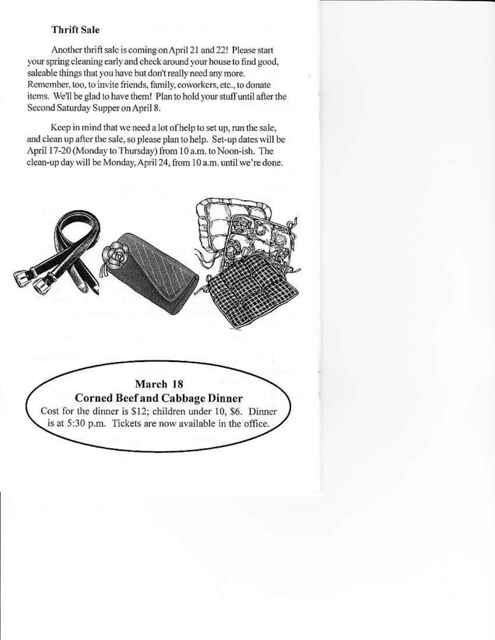# **Thrift Sale**

Another thrift sale is coming on April 21 and 22! Please start your spring cleaning early and check around your house to find good, saleable things that you have but don't really need any more. Remember, too, to invite friends, family, coworkers, etc., to donate items. We'll be glad to have them! Plan to hold your stuff until after the Second Saturday Supper on April 8.

Keep in mind that we need a lot of help to set up, run the sale, and clean up after the sale, so please plan to help. Set-up dates will be April 17-20 (Monday to Thursday) from 10 a.m. to Noon-ish. The clean-up day will be Monday, April 24, from 10 a.m. until we're done.